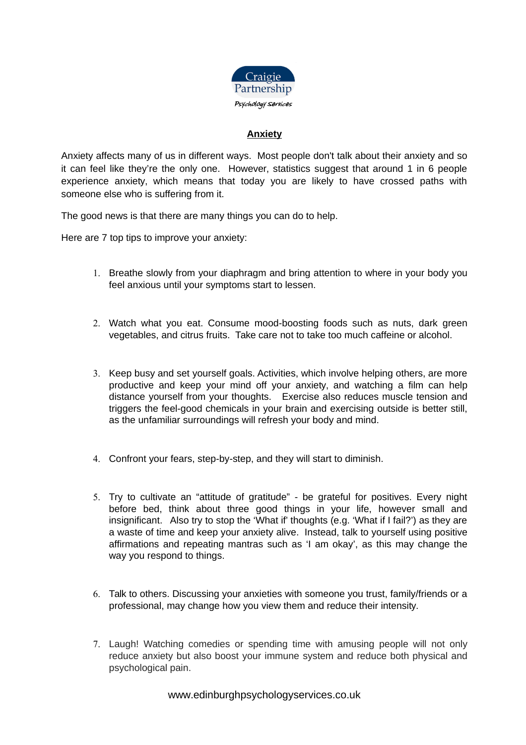

## **Anxiety**

Anxiety affects many of us in different ways. Most people don't talk about their anxiety and so it can feel like they're the only one. However, statistics suggest that around 1 in 6 people experience anxiety, which means that today you are likely to have crossed paths with someone else who is suffering from it.

The good news is that there are many things you can do to help.

Here are 7 top tips to improve your anxiety:

- 1. Breathe slowly from your diaphragm and bring attention to where in your body you feel anxious until your symptoms start to lessen.
- 2. Watch what you eat. Consume mood-boosting foods such as nuts, dark green vegetables, and citrus fruits. Take care not to take too much caffeine or alcohol.
- 3. Keep busy and set yourself goals. Activities, which involve helping others, are more productive and keep your mind off your anxiety, and watching a film can help distance yourself from your thoughts. Exercise also reduces muscle tension and triggers the feel-good chemicals in your brain and exercising outside is better still, as the unfamiliar surroundings will refresh your body and mind.
- 4. Confront your fears, step-by-step, and they will start to diminish.
- 5. Try to cultivate an "attitude of gratitude" be grateful for positives. Every night before bed, think about three good things in your life, however small and insignificant. Also try to stop the 'What if' thoughts (e.g. 'What if I fail?') as they are a waste of time and keep your anxiety alive. Instead, talk to yourself using positive affirmations and repeating mantras such as 'I am okay', as this may change the way you respond to things.
- 6. Talk to others. Discussing your anxieties with someone you trust, family/friends or a professional, may change how you view them and reduce their intensity.
- 7. Laugh! Watching comedies or spending time with amusing people will not only reduce anxiety but also boost your immune system and reduce both physical and psychological pain.

www.edinburghpsychologyservices.co.uk